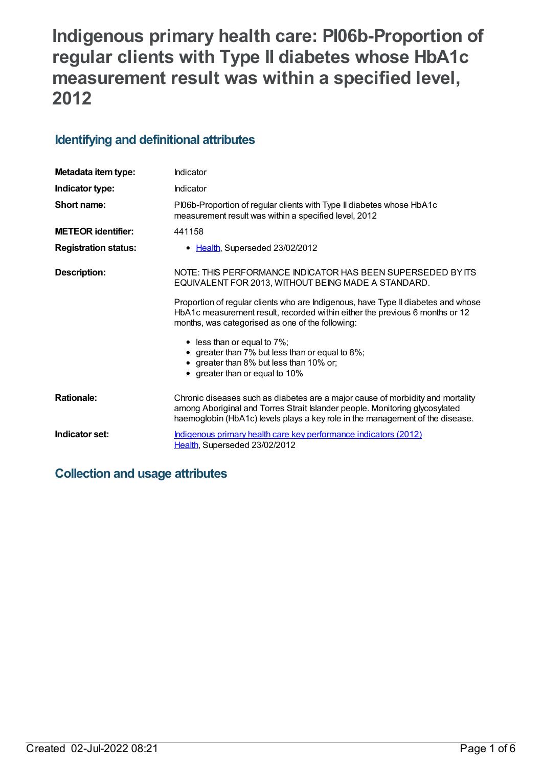# **Indigenous primary health care: PI06b-Proportion of regular clients with Type II diabetes whose HbA1c measurement result was within a specified level, 2012**

## **Identifying and definitional attributes**

| Metadata item type:         | Indicator                                                                                                                                                                                                                                      |
|-----------------------------|------------------------------------------------------------------------------------------------------------------------------------------------------------------------------------------------------------------------------------------------|
| Indicator type:             | Indicator                                                                                                                                                                                                                                      |
| Short name:                 | PI06b-Proportion of regular clients with Type II diabetes whose HbA1c<br>measurement result was within a specified level, 2012                                                                                                                 |
| <b>METEOR identifier:</b>   | 441158                                                                                                                                                                                                                                         |
| <b>Registration status:</b> | • Health, Superseded 23/02/2012                                                                                                                                                                                                                |
| <b>Description:</b>         | NOTE: THIS PERFORMANCE INDICATOR HAS BEEN SUPERSEDED BY ITS<br>EQUIVALENT FOR 2013, WITHOUT BEING MADE A STANDARD.                                                                                                                             |
|                             | Proportion of regular clients who are Indigenous, have Type II diabetes and whose<br>HbA1c measurement result, recorded within either the previous 6 months or 12<br>months, was categorised as one of the following:                          |
|                             | $\bullet$ less than or equal to 7%;<br>• greater than 7% but less than or equal to 8%;<br>• greater than 8% but less than 10% or;<br>• greater than or equal to 10%                                                                            |
| <b>Rationale:</b>           | Chronic diseases such as diabetes are a major cause of morbidity and mortality<br>among Aboriginal and Torres Strait Islander people. Monitoring glycosylated<br>haemoglobin (HbA1c) levels plays a key role in the management of the disease. |
| Indicator set:              | Indigenous primary health care key performance indicators (2012)<br>Health, Superseded 23/02/2012                                                                                                                                              |

## **Collection and usage attributes**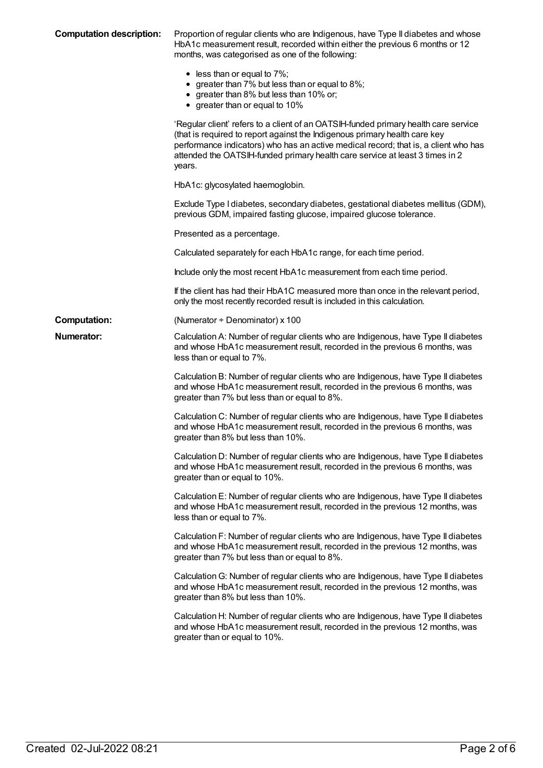| <b>Computation description:</b> | Proportion of regular clients who are Indigenous, have Type II diabetes and whose<br>HbA1c measurement result, recorded within either the previous 6 months or 12<br>months, was categorised as one of the following:                                                                                                                              |
|---------------------------------|----------------------------------------------------------------------------------------------------------------------------------------------------------------------------------------------------------------------------------------------------------------------------------------------------------------------------------------------------|
|                                 | $\bullet$ less than or equal to 7%;<br>• greater than 7% but less than or equal to 8%;<br>• greater than 8% but less than 10% or;<br>• greater than or equal to 10%                                                                                                                                                                                |
|                                 | 'Regular client' refers to a client of an OATSIH-funded primary health care service<br>(that is required to report against the Indigenous primary health care key<br>performance indicators) who has an active medical record; that is, a client who has<br>attended the OATSIH-funded primary health care service at least 3 times in 2<br>years. |
|                                 | HbA1c: glycosylated haemoglobin.                                                                                                                                                                                                                                                                                                                   |
|                                 | Exclude Type I diabetes, secondary diabetes, gestational diabetes mellitus (GDM),<br>previous GDM, impaired fasting glucose, impaired glucose tolerance.                                                                                                                                                                                           |
|                                 | Presented as a percentage.                                                                                                                                                                                                                                                                                                                         |
|                                 | Calculated separately for each HbA1c range, for each time period.                                                                                                                                                                                                                                                                                  |
|                                 | Include only the most recent HbA1c measurement from each time period.                                                                                                                                                                                                                                                                              |
|                                 | If the client has had their HbA1C measured more than once in the relevant period,<br>only the most recently recorded result is included in this calculation.                                                                                                                                                                                       |
| <b>Computation:</b>             | (Numerator $\div$ Denominator) x 100                                                                                                                                                                                                                                                                                                               |
| <b>Numerator:</b>               | Calculation A: Number of regular clients who are Indigenous, have Type II diabetes<br>and whose HbA1c measurement result, recorded in the previous 6 months, was<br>less than or equal to 7%.                                                                                                                                                      |
|                                 | Calculation B: Number of regular clients who are Indigenous, have Type II diabetes<br>and whose HbA1c measurement result, recorded in the previous 6 months, was<br>greater than 7% but less than or equal to 8%.                                                                                                                                  |
|                                 | Calculation C: Number of regular clients who are Indigenous, have Type II diabetes<br>and whose HbA1c measurement result, recorded in the previous 6 months, was<br>greater than 8% but less than 10%.                                                                                                                                             |
|                                 | Calculation D: Number of regular clients who are Indigenous, have Type II diabetes<br>and whose HbA1c measurement result, recorded in the previous 6 months, was<br>greater than or equal to 10%.                                                                                                                                                  |
|                                 | Calculation E: Number of regular clients who are Indigenous, have Type II diabetes<br>and whose HbA1c measurement result, recorded in the previous 12 months, was<br>less than or equal to 7%.                                                                                                                                                     |
|                                 | Calculation F: Number of regular clients who are Indigenous, have Type II diabetes<br>and whose HbA1c measurement result, recorded in the previous 12 months, was<br>greater than 7% but less than or equal to 8%.                                                                                                                                 |
|                                 | Calculation G: Number of regular clients who are Indigenous, have Type II diabetes<br>and whose HbA1c measurement result, recorded in the previous 12 months, was<br>greater than 8% but less than 10%.                                                                                                                                            |
|                                 | Calculation H: Number of regular clients who are Indigenous, have Type II diabetes<br>and whose HbA1c measurement result, recorded in the previous 12 months, was<br>greater than or equal to 10%.                                                                                                                                                 |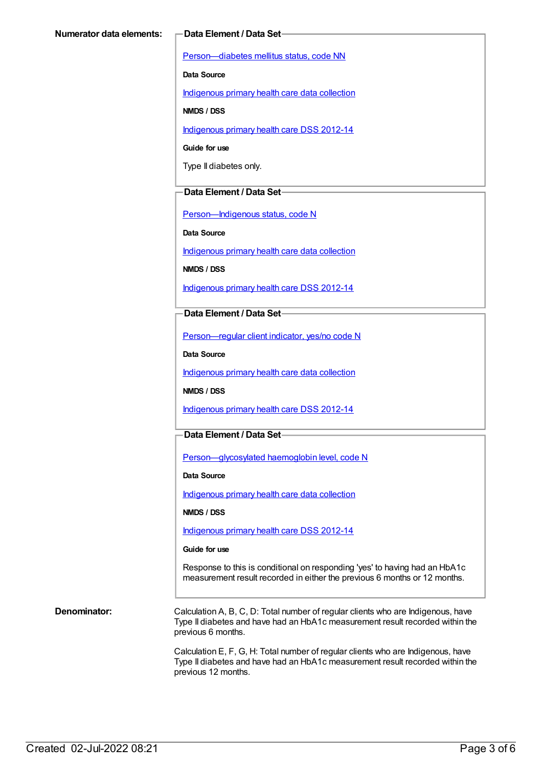[Person—diabetes](https://meteor.aihw.gov.au/content/270194) mellitus status, code NN

**Data Source**

[Indigenous](https://meteor.aihw.gov.au/content/430643) primary health care data collection

**NMDS / DSS**

[Indigenous](https://meteor.aihw.gov.au/content/430629) primary health care DSS 2012-14

**Guide for use**

Type II diabetes only.

#### **Data Element / Data Set**

[Person—Indigenous](https://meteor.aihw.gov.au/content/291036) status, code N

**Data Source**

[Indigenous](https://meteor.aihw.gov.au/content/430643) primary health care data collection

**NMDS / DSS**

[Indigenous](https://meteor.aihw.gov.au/content/430629) primary health care DSS 2012-14

**Data Element / Data Set**

[Person—regular](https://meteor.aihw.gov.au/content/436639) client indicator, yes/no code N

**Data Source**

[Indigenous](https://meteor.aihw.gov.au/content/430643) primary health care data collection

**NMDS / DSS**

[Indigenous](https://meteor.aihw.gov.au/content/430629) primary health care DSS 2012-14

### **Data Element / Data Set**

[Person—glycosylated](https://meteor.aihw.gov.au/content/443631) haemoglobin level, code N

**Data Source**

[Indigenous](https://meteor.aihw.gov.au/content/430643) primary health care data collection

**NMDS / DSS**

[Indigenous](https://meteor.aihw.gov.au/content/430629) primary health care DSS 2012-14

#### **Guide for use**

Response to this is conditional on responding 'yes' to having had an HbA1c measurement result recorded in either the previous 6 months or 12 months.

**Denominator:** Calculation A, B, C, D: Total number of regular clients who are Indigenous, have Type II diabetes and have had an HbA1c measurement result recorded within the previous 6 months.

> Calculation E, F, G, H: Total number of regular clients who are Indigenous, have Type II diabetes and have had an HbA1c measurement result recorded within the previous 12 months.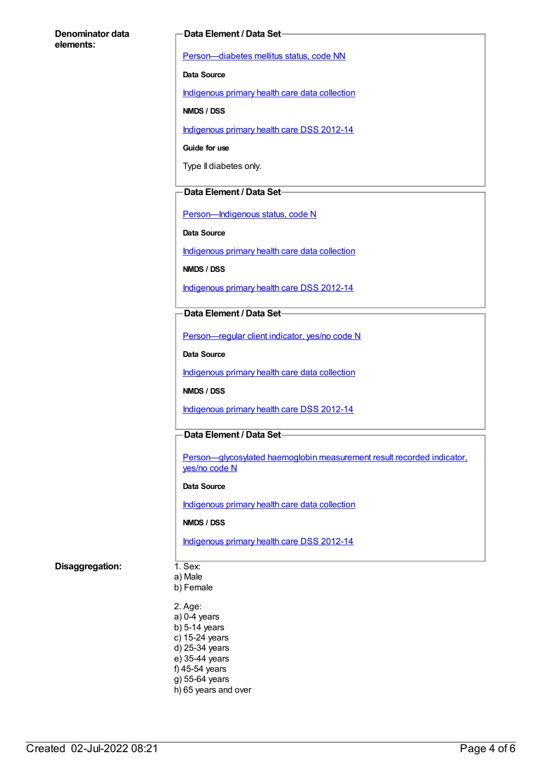#### **Denominator data elements:**

#### **Data Element / Data Set**

[Person—diabetes](https://meteor.aihw.gov.au/content/270194) mellitus status, code NN

**Data Source**

[Indigenous](https://meteor.aihw.gov.au/content/430643) primary health care data collection

**NMDS / DSS**

[Indigenous](https://meteor.aihw.gov.au/content/430629) primary health care DSS 2012-14

**Guide for use**

Type II diabetes only.

### **Data Element / Data Set**

[Person—Indigenous](https://meteor.aihw.gov.au/content/291036) status, code N

**Data Source**

[Indigenous](https://meteor.aihw.gov.au/content/430643) primary health care data collection

**NMDS / DSS**

[Indigenous](https://meteor.aihw.gov.au/content/430629) primary health care DSS 2012-14

### **Data Element / Data Set**

[Person—regular](https://meteor.aihw.gov.au/content/436639) client indicator, yes/no code N

**Data Source**

[Indigenous](https://meteor.aihw.gov.au/content/430643) primary health care data collection

**NMDS / DSS**

[Indigenous](https://meteor.aihw.gov.au/content/430629) primary health care DSS 2012-14

### **Data Element / Data Set**

Person-glycosylated haemoglobin measurement result recorded indicator, yes/no code N

#### **Data Source**

[Indigenous](https://meteor.aihw.gov.au/content/430643) primary health care data collection

#### **NMDS / DSS**

[Indigenous](https://meteor.aihw.gov.au/content/430629) primary health care DSS 2012-14

#### **Disaggregation:** 1. Sex:

- a) Male b) Female
- 2. Age: a) 0-4 years b) 5-14 years c) 15-24 years d) 25-34 years e) 35-44 years f) 45-54 years g) 55-64 years h) 65 years and over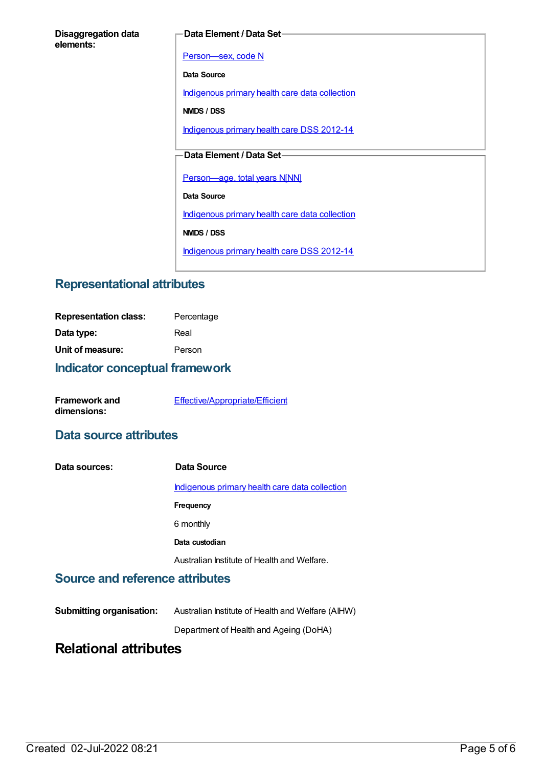| <b>Disaggregation data</b> |  |
|----------------------------|--|
| elements:                  |  |

#### **Data Element / Data Set**

[Person—sex,](https://meteor.aihw.gov.au/content/287316) code N

**Data Source**

[Indigenous](https://meteor.aihw.gov.au/content/430643) primary health care data collection

**NMDS / DSS**

[Indigenous](https://meteor.aihw.gov.au/content/430629) primary health care DSS 2012-14

## **Data Element / Data Set**

[Person—age,](https://meteor.aihw.gov.au/content/303794) total years N[NN]

**Data Source**

[Indigenous](https://meteor.aihw.gov.au/content/430643) primary health care data collection

**NMDS / DSS**

[Indigenous](https://meteor.aihw.gov.au/content/430629) primary health care DSS 2012-14

## **Representational attributes**

| <b>Representation class:</b> | Percentage |
|------------------------------|------------|
| Data type:                   | Real       |
| Unit of measure:             | Person     |
|                              |            |

## **Indicator conceptual framework**

| <b>Framework and</b> | Effective/Appropriate/Efficient |
|----------------------|---------------------------------|
| dimensions:          |                                 |

## **Data source attributes**

| Data sources: | Data Source                                    |
|---------------|------------------------------------------------|
|               | Indigenous primary health care data collection |
|               | <b>Frequency</b>                               |
|               | 6 monthly                                      |
|               | Data custodian                                 |
|               | Australian Institute of Health and Welfare.    |

## **Source and reference attributes**

| <b>Submitting organisation:</b> | Australian Institute of Health and Welfare (AIHW) |
|---------------------------------|---------------------------------------------------|
|                                 | Department of Health and Ageing (DoHA)            |

## **Relational attributes**